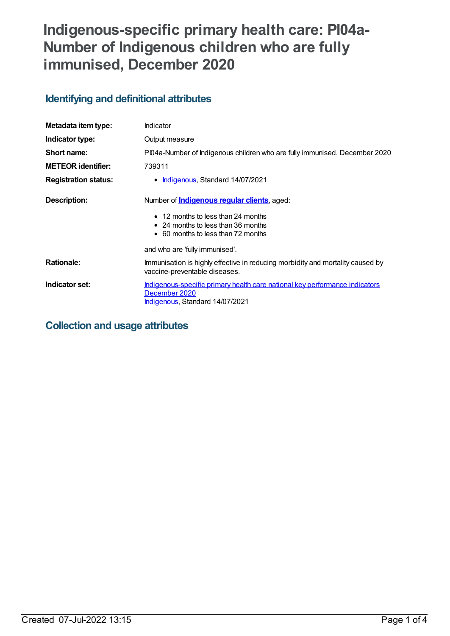# **Indigenous-specific primary health care: PI04a-Number of Indigenous children who are fully immunised, December 2020**

## **Identifying and definitional attributes**

| Metadata item type:         | Indicator                                                                                                                              |
|-----------------------------|----------------------------------------------------------------------------------------------------------------------------------------|
| Indicator type:             | Output measure                                                                                                                         |
| Short name:                 | PI04a-Number of Indigenous children who are fully immunised, December 2020                                                             |
| <b>METEOR identifier:</b>   | 739311                                                                                                                                 |
| <b>Registration status:</b> | • Indigenous, Standard 14/07/2021                                                                                                      |
| Description:                | Number of <b>Indigenous regular clients</b> , aged:                                                                                    |
|                             | • 12 months to less than 24 months<br>$\bullet$ 24 months to less than 36 months<br>• 60 months to less than 72 months                 |
|                             | and who are 'fully immunised'.                                                                                                         |
| <b>Rationale:</b>           | Immunisation is highly effective in reducing morbidity and mortality caused by<br>vaccine-preventable diseases.                        |
| Indicator set:              | Indigenous-specific primary health care national key performance indicators<br>December 2020<br><b>Indigenous, Standard 14/07/2021</b> |

## **Collection and usage attributes**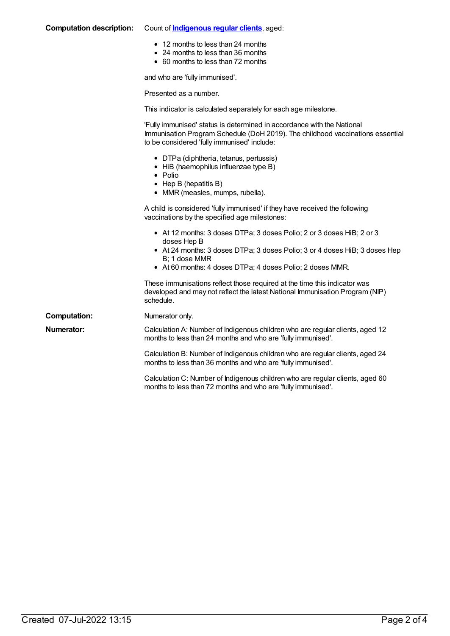| <b>Computation description:</b> | Count of <b>Indigenous regular clients</b> , aged:                                                                                                                                                                                               |
|---------------------------------|--------------------------------------------------------------------------------------------------------------------------------------------------------------------------------------------------------------------------------------------------|
|                                 | • 12 months to less than 24 months<br>• 24 months to less than 36 months<br>• 60 months to less than 72 months                                                                                                                                   |
|                                 | and who are 'fully immunised'.                                                                                                                                                                                                                   |
|                                 | Presented as a number.                                                                                                                                                                                                                           |
|                                 | This indicator is calculated separately for each age milestone.                                                                                                                                                                                  |
|                                 | 'Fully immunised' status is determined in accordance with the National<br>Immunisation Program Schedule (DoH 2019). The childhood vaccinations essential<br>to be considered 'fully immunised' include:                                          |
|                                 | • DTPa (diphtheria, tetanus, pertussis)<br>• HiB (haemophilus influenzae type B)<br>$\bullet$ Polio<br>$\bullet$ Hep B (hepatitis B)<br>• MMR (measles, mumps, rubella).                                                                         |
|                                 | A child is considered 'fully immunised' if they have received the following<br>vaccinations by the specified age milestones:                                                                                                                     |
|                                 | • At 12 months: 3 doses DTPa; 3 doses Polio; 2 or 3 doses HiB; 2 or 3<br>doses Hep B<br>• At 24 months: 3 doses DTPa; 3 doses Polio; 3 or 4 doses HiB; 3 doses Hep<br>B; 1 dose MMR<br>• At 60 months: 4 doses DTPa; 4 doses Polio; 2 doses MMR. |
|                                 | These immunisations reflect those required at the time this indicator was<br>developed and may not reflect the latest National Immunisation Program (NIP)<br>schedule.                                                                           |
| <b>Computation:</b>             | Numerator only.                                                                                                                                                                                                                                  |
| <b>Numerator:</b>               | Calculation A: Number of Indigenous children who are regular clients, aged 12<br>months to less than 24 months and who are 'fully immunised'.                                                                                                    |
|                                 | Calculation B: Number of Indigenous children who are regular clients, aged 24<br>months to less than 36 months and who are 'fully immunised'.                                                                                                    |
|                                 | Calculation C: Number of Indigenous children who are regular clients, aged 60<br>months to less than 72 months and who are 'fully immunised'.                                                                                                    |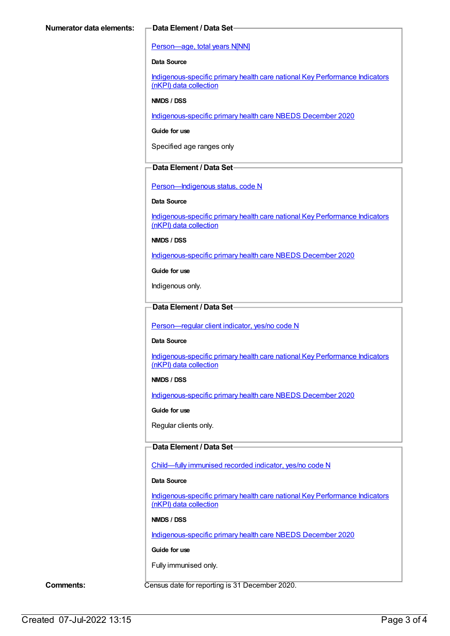#### [Person—age,](https://meteor.aihw.gov.au/content/303794) total years N[NN]

#### **Data Source**

[Indigenous-specific](https://meteor.aihw.gov.au/content/737914) primary health care national Key Performance Indicators (nKPI) data collection

#### **NMDS / DSS**

[Indigenous-specific](https://meteor.aihw.gov.au/content/738532) primary health care NBEDS December 2020

**Guide for use**

Specified age ranges only

#### **Data Element / Data Set**

[Person—Indigenous](https://meteor.aihw.gov.au/content/602543) status, code N

#### **Data Source**

[Indigenous-specific](https://meteor.aihw.gov.au/content/737914) primary health care national Key Performance Indicators (nKPI) data collection

**NMDS / DSS**

[Indigenous-specific](https://meteor.aihw.gov.au/content/738532) primary health care NBEDS December 2020

**Guide for use**

Indigenous only.

#### **Data Element / Data Set**

[Person—regular](https://meteor.aihw.gov.au/content/686291) client indicator, yes/no code N

#### **Data Source**

[Indigenous-specific](https://meteor.aihw.gov.au/content/737914) primary health care national Key Performance Indicators (nKPI) data collection

#### **NMDS / DSS**

[Indigenous-specific](https://meteor.aihw.gov.au/content/738532) primary health care NBEDS December 2020

**Guide for use**

Regular clients only.

#### **Data Element / Data Set**

[Child—fully](https://meteor.aihw.gov.au/content/720830) immunised recorded indicator, yes/no code N

#### **Data Source**

[Indigenous-specific](https://meteor.aihw.gov.au/content/737914) primary health care national Key Performance Indicators (nKPI) data collection

#### **NMDS / DSS**

[Indigenous-specific](https://meteor.aihw.gov.au/content/738532) primary health care NBEDS December 2020

#### **Guide for use**

Fully immunised only.

**Comments:** Census date for reporting is 31 December 2020.